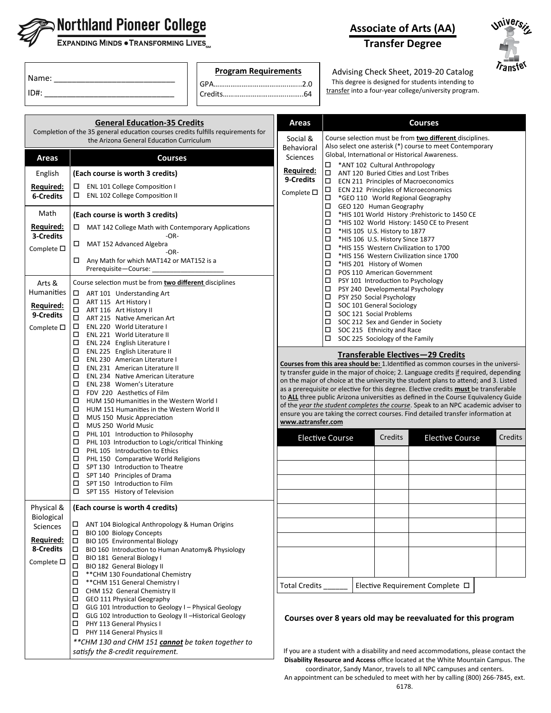

# $\mathbf{\Im}$  Northland Pioneer College

EXPANDING MINDS . TRANSFORMING LIVES

| Name: |  |
|-------|--|
| ID#:  |  |

**Program Requirements**

GPA…………………………………..…...2.0 Credits……………………………..……..64



## **Transfer Degree**



Advising Check Sheet, 2019-20 Catalog This degree is designed for students intending to transfer into a four-year college/university program.

|                                                                               | <b>General Education-35 Credits</b>                                                                                                                                                                                                                                                                                                                                                                       | Areas                                                           | <b>Courses</b>                                                                                                                                                                                                                                                                                                                                                                                                                                                                                                                                                                                                                                                                              |  |  |
|-------------------------------------------------------------------------------|-----------------------------------------------------------------------------------------------------------------------------------------------------------------------------------------------------------------------------------------------------------------------------------------------------------------------------------------------------------------------------------------------------------|-----------------------------------------------------------------|---------------------------------------------------------------------------------------------------------------------------------------------------------------------------------------------------------------------------------------------------------------------------------------------------------------------------------------------------------------------------------------------------------------------------------------------------------------------------------------------------------------------------------------------------------------------------------------------------------------------------------------------------------------------------------------------|--|--|
|                                                                               | Completion of the 35 general education courses credits fulfills requirements for<br>the Arizona General Education Curriculum                                                                                                                                                                                                                                                                              | Social &<br>Behavioral                                          | Course selection must be from two different disciplines.<br>Also select one asterisk (*) course to meet Contemporary<br>Global, International or Historical Awareness.                                                                                                                                                                                                                                                                                                                                                                                                                                                                                                                      |  |  |
| <b>Areas</b><br>English<br>Required:<br><b>6-Credits</b>                      | <b>Courses</b><br>(Each course is worth 3 credits)<br>ENL 101 College Composition I<br>$\Box$ ENL 102 College Composition II                                                                                                                                                                                                                                                                              | <b>Sciences</b><br>Required:<br>9-Credits<br>Complete $\square$ | □<br>*ANT 102 Cultural Anthropology<br>□<br>ANT 120 Buried Cities and Lost Tribes<br>□<br>ECN 211 Principles of Macroeconomics<br>ECN 212 Principles of Microeconomics<br>□                                                                                                                                                                                                                                                                                                                                                                                                                                                                                                                 |  |  |
|                                                                               |                                                                                                                                                                                                                                                                                                                                                                                                           |                                                                 | □<br>*GEO 110 World Regional Geography<br>□<br>GEO 120 Human Geography                                                                                                                                                                                                                                                                                                                                                                                                                                                                                                                                                                                                                      |  |  |
| Math<br><u>Required:</u><br>3-Credits                                         | (Each course is worth 3 credits)<br>$\Box$ MAT 142 College Math with Contemporary Applications<br>$-OR-$                                                                                                                                                                                                                                                                                                  |                                                                 | □<br>*HIS 101 World History : Prehistoric to 1450 CE<br>□<br>*HIS 102 World History: 1450 CE to Present<br>□<br>*HIS 105 U.S. History to 1877                                                                                                                                                                                                                                                                                                                                                                                                                                                                                                                                               |  |  |
| Complete $\square$                                                            | $\Box$ MAT 152 Advanced Algebra<br>-OR-<br>$\Box$ Any Math for which MAT142 or MAT152 is a<br>Prerequisite-Course:                                                                                                                                                                                                                                                                                        |                                                                 | □<br>*HIS 106 U.S. History Since 1877<br>□<br>*HIS 155 Western Civilization to 1700<br>□<br>*HIS 156 Western Civilization since 1700<br>□<br>*HIS 201 History of Women<br>□<br>POS 110 American Government                                                                                                                                                                                                                                                                                                                                                                                                                                                                                  |  |  |
| Arts &<br><b>Humanities</b><br>Required:<br>9-Credits<br>Complete $\square$   | Course selection must be from two different disciplines<br>□<br>ART 101 Understanding Art<br>□<br>ART 115 Art History I<br>□<br>ART 116 Art History II<br>□<br>ART 215 Native American Art<br>ENL 220 World Literature I<br>$\Box$<br>$\Box$<br><b>ENL 221 World Literature II</b><br>$\Box$<br>ENL 224 English Literature I                                                                              |                                                                 | □<br>PSY 101 Introduction to Psychology<br>□<br>PSY 240 Developmental Psychology<br>□<br>PSY 250 Social Psychology<br>□<br>SOC 101 General Sociology<br>□<br>SOC 121 Social Problems<br>□<br>SOC 212 Sex and Gender in Society<br>SOC 215 Ethnicity and Race<br>□<br>□<br>SOC 225 Sociology of the Family                                                                                                                                                                                                                                                                                                                                                                                   |  |  |
|                                                                               | □<br>ENL 225 English Literature II<br>□<br>ENL 230 American Literature I<br>□<br>ENL 231 American Literature II<br>□<br>ENL 234 Native American Literature<br>□<br>ENL 238 Women's Literature<br>□<br>FDV 220 Aesthetics of Film<br>□<br>HUM 150 Humanities in the Western World I<br>$\Box$<br>HUM 151 Humanities in the Western World II<br>□<br>MUS 150 Music Appreciation<br>MUS 250 World Music<br>□ |                                                                 | Transferable Electives-29 Credits<br>Courses from this area should be: 1. Identified as common courses in the universi-<br>ty transfer guide in the major of choice; 2. Language credits if required, depending<br>on the major of choice at the university the student plans to attend; and 3. Listed<br>as a prerequisite or elective for this degree. Elective credits must be transferable<br>to <b>ALL</b> three public Arizona universities as defined in the Course Equivalency Guide<br>of the year the student completes the course. Speak to an NPC academic adviser to<br>ensure you are taking the correct courses. Find detailed transfer information at<br>www.aztransfer.com |  |  |
|                                                                               | □<br>PHL 101 Introduction to Philosophy<br>□<br>PHL 103 Introduction to Logic/critical Thinking<br>□<br>PHL 105 Introduction to Ethics<br>□<br>PHL 150 Comparative World Religions<br>□<br>SPT 130 Introduction to Theatre<br>□<br>SPT 140 Principles of Drama<br>□<br>SPT 150 Introduction to Film<br>SPT 155 History of Television                                                                      |                                                                 | Credits<br>Credits<br><b>Elective Course</b><br><b>Elective Course</b>                                                                                                                                                                                                                                                                                                                                                                                                                                                                                                                                                                                                                      |  |  |
| Physical &                                                                    | (Each course is worth 4 credits)                                                                                                                                                                                                                                                                                                                                                                          |                                                                 |                                                                                                                                                                                                                                                                                                                                                                                                                                                                                                                                                                                                                                                                                             |  |  |
| <b>Biological</b><br>Sciences<br>Required:<br>8-Credits<br>Complete $\square$ | ANT 104 Biological Anthropology & Human Origins<br>⊔<br>□<br><b>BIO 100 Biology Concepts</b><br>BIO 105 Environmental Biology<br>$\Box$<br>BIO 160 Introduction to Human Anatomy& Physiology<br>∣□<br>BIO 181 General Biology I<br>$\Box$<br>$\Box$<br>BIO 182 General Biology II<br>** CHM 130 Foundational Chemistry<br>□                                                                               |                                                                 |                                                                                                                                                                                                                                                                                                                                                                                                                                                                                                                                                                                                                                                                                             |  |  |
|                                                                               | □<br>** CHM 151 General Chemistry I                                                                                                                                                                                                                                                                                                                                                                       | Total Credits_                                                  | Elective Requirement Complete □                                                                                                                                                                                                                                                                                                                                                                                                                                                                                                                                                                                                                                                             |  |  |
|                                                                               | □<br>CHM 152 General Chemistry II<br>□<br>GEO 111 Physical Geography<br>□<br>GLG 101 Introduction to Geology I - Physical Geology<br>□<br>GLG 102 Introduction to Geology II -Historical Geology<br>□<br>PHY 113 General Physics I<br>PHY 114 General Physics II<br>$\Box$                                                                                                                                |                                                                 | Courses over 8 years old may be reevaluated for this program                                                                                                                                                                                                                                                                                                                                                                                                                                                                                                                                                                                                                                |  |  |
|                                                                               | **CHM 130 and CHM 151 cannot be taken together to<br>satisfy the 8-credit requirement.                                                                                                                                                                                                                                                                                                                    |                                                                 | If you are a student with a disability and need accommodations, please contact the<br>Disability Resource and Access office located at the White Mountain Campus. The                                                                                                                                                                                                                                                                                                                                                                                                                                                                                                                       |  |  |

coordinator, Sandy Manor, travels to all NPC campuses and centers. An appointment can be scheduled to meet with her by calling (800) 266-7845, ext.